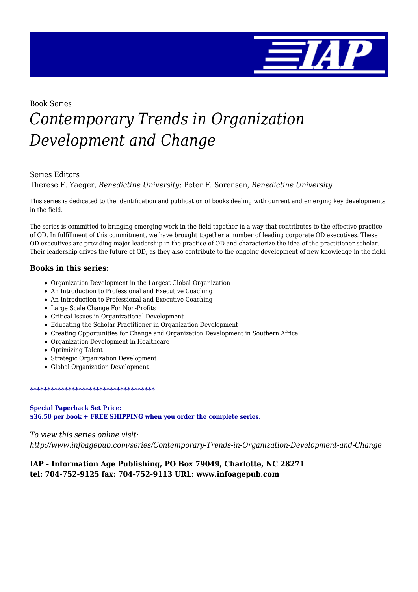

Book Series

# *Contemporary Trends in Organization Development and Change*

#### Series Editors

Therese F. Yaeger, *Benedictine University*; Peter F. Sorensen, *Benedictine University*

This series is dedicated to the identification and publication of books dealing with current and emerging key developments in the field.

The series is committed to bringing emerging work in the field together in a way that contributes to the effective practice of OD. In fulfillment of this commitment, we have brought together a number of leading corporate OD executives. These OD executives are providing major leadership in the practice of OD and characterize the idea of the practitioner-scholar. Their leadership drives the future of OD, as they also contribute to the ongoing development of new knowledge in the field.

#### **Books in this series:**

- Organization Development in the Largest Global Organization
- An Introduction to Professional and Executive Coaching
- An Introduction to Professional and Executive Coaching
- Large Scale Change For Non-Profits
- Critical Issues in Organizational Development
- Educating the Scholar Practitioner in Organization Development
- Creating Opportunities for Change and Organization Development in Southern Africa
- Organization Development in Healthcare
- Optimizing Talent
- Strategic Organization Development
- Global Organization Development

#### \*\*\*\*\*\*\*\*\*\*\*\*\*\*\*\*\*\*\*\*\*\*\*\*\*\*\*\*\*\*\*\*\*\*\*\*

#### **Special Paperback Set Price: \$36.50 per book + FREE SHIPPING when you order the complete series.**

*To view this series online visit: http://www.infoagepub.com/series/Contemporary-Trends-in-Organization-Development-and-Change*

#### **IAP - Information Age Publishing, PO Box 79049, Charlotte, NC 28271 tel: 704-752-9125 fax: 704-752-9113 URL: www.infoagepub.com**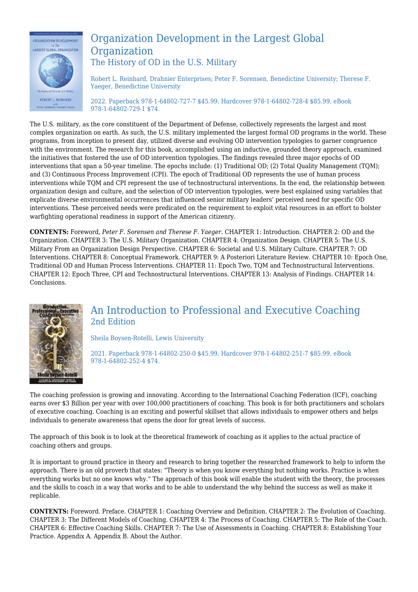

#### Organization Development in the Largest Global **Organization** The History of OD in the U.S. Military

Robert L. Reinhard, Drahnier Enterprises; Peter F. Sorensen, Benedictine University; Therese F. Yaeger, Benedictine University

2022. Paperback 978-1-64802-727-7 \$45.99. Hardcover 978-1-64802-728-4 \$85.99. eBook 978-1-64802-729-1 \$74.

The U.S. military, as the core constituent of the Department of Defense, collectively represents the largest and most complex organization on earth. As such, the U.S. military implemented the largest formal OD programs in the world. These programs, from inception to present day, utilized diverse and evolving OD intervention typologies to garner congruence with the environment. The research for this book, accomplished using an inductive, grounded theory approach, examined the initiatives that fostered the use of OD intervention typologies. The findings revealed three major epochs of OD interventions that span a 50-year timeline. The epochs include: (1) Traditional OD; (2) Total Quality Management (TQM); and (3) Continuous Process Improvement (CPI). The epoch of Traditional OD represents the use of human process interventions while TQM and CPI represent the use of technostructural interventions. In the end, the relationship between organization design and culture, and the selection of OD intervention typologies, were best explained using variables that explicate diverse environmental occurrences that influenced senior military leaders' perceived need for specific OD interventions. These perceived needs were predicated on the requirement to exploit vital resources in an effort to bolster warfighting operational readiness in support of the American citizenry.

**CONTENTS:** Foreword, *Peter F. Sorensen and Therese F. Yaeger.* CHAPTER 1: Introduction. CHAPTER 2: OD and the Organization. CHAPTER 3: The U.S. Military Organization. CHAPTER 4: Organization Design. CHAPTER 5: The U.S. Military From an Organization Design Perspective. CHAPTER 6: Societal and U.S. Military Culture. CHAPTER 7: OD Interventions. CHAPTER 8: Conceptual Framework. CHAPTER 9: A Posteriori Literature Review. CHAPTER 10: Epoch One, Traditional OD and Human Process Interventions. CHAPTER 11: Epoch Two, TQM and Technostructural Interventions. CHAPTER 12: Epoch Three, CPI and Technostructural Interventions. CHAPTER 13: Analysis of Findings. CHAPTER 14: Conclusions.



#### An Introduction to Professional and Executive Coaching 2nd Edition

Sheila Boysen-Rotelli, Lewis University

2021. Paperback 978-1-64802-250-0 \$45.99. Hardcover 978-1-64802-251-7 \$85.99. eBook 978-1-64802-252-4 \$74.

The coaching profession is growing and innovating. According to the International Coaching Federation (ICF), coaching earns over \$3 Billion per year with over 100,000 practitioners of coaching. This book is for both practitioners and scholars of executive coaching. Coaching is an exciting and powerful skillset that allows individuals to empower others and helps individuals to generate awareness that opens the door for great levels of success.

The approach of this book is to look at the theoretical framework of coaching as it applies to the actual practice of coaching others and groups.

It is important to ground practice in theory and research to bring together the researched framework to help to inform the approach. There is an old proverb that states: "Theory is when you know everything but nothing works. Practice is when everything works but no one knows why." The approach of this book will enable the student with the theory, the processes and the skills to coach in a way that works and to be able to understand the why behind the success as well as make it replicable.

**CONTENTS:** Foreword. Preface. CHAPTER 1: Coaching Overview and Definition. CHAPTER 2: The Evolution of Coaching. CHAPTER 3: The Different Models of Coaching. CHAPTER 4: The Process of Coaching. CHAPTER 5: The Role of the Coach. CHAPTER 6: Effective Coaching Skills. CHAPTER 7: The Use of Assessments in Coaching. CHAPTER 8: Establishing Your Practice. Appendix A. Appendix B. About the Author.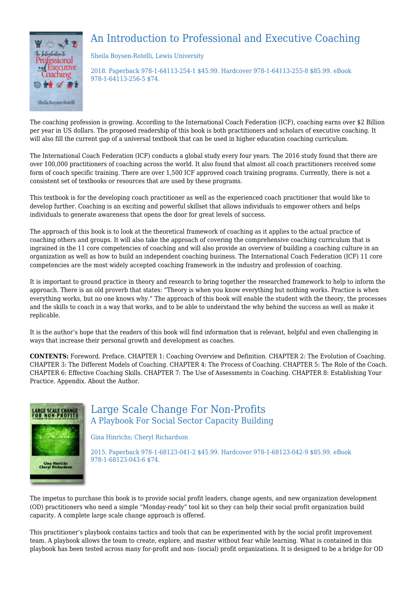## An Introduction to Professional and Executive Coaching



Sheila Boysen-Rotelli, Lewis University

2018. Paperback 978-1-64113-254-1 \$45.99. Hardcover 978-1-64113-255-8 \$85.99. eBook 978-1-64113-256-5 \$74.

The coaching profession is growing. According to the International Coach Federation (ICF), coaching earns over \$2 Billion per year in US dollars. The proposed readership of this book is both practitioners and scholars of executive coaching. It will also fill the current gap of a universal textbook that can be used in higher education coaching curriculum.

The International Coach Federation (ICF) conducts a global study every four years. The 2016 study found that there are over 100,000 practitioners of coaching across the world. It also found that almost all coach practitioners received some form of coach specific training. There are over 1,500 ICF approved coach training programs. Currently, there is not a consistent set of textbooks or resources that are used by these programs.

This textbook is for the developing coach practitioner as well as the experienced coach practitioner that would like to develop further. Coaching is an exciting and powerful skillset that allows individuals to empower others and helps individuals to generate awareness that opens the door for great levels of success.

The approach of this book is to look at the theoretical framework of coaching as it applies to the actual practice of coaching others and groups. It will also take the approach of covering the comprehensive coaching curriculum that is ingrained in the 11 core competencies of coaching and will also provide an overview of building a coaching culture in an organization as well as how to build an independent coaching business. The International Coach Federation (ICF) 11 core competencies are the most widely accepted coaching framework in the industry and profession of coaching.

It is important to ground practice in theory and research to bring together the researched framework to help to inform the approach. There is an old proverb that states: "Theory is when you know everything but nothing works. Practice is when everything works, but no one knows why." The approach of this book will enable the student with the theory, the processes and the skills to coach in a way that works, and to be able to understand the why behind the success as well as make it replicable.

It is the author's hope that the readers of this book will find information that is relevant, helpful and even challenging in ways that increase their personal growth and development as coaches.

**CONTENTS:** Foreword. Preface. CHAPTER 1: Coaching Overview and Definition. CHAPTER 2: The Evolution of Coaching. CHAPTER 3: The Different Models of Coaching. CHAPTER 4: The Process of Coaching. CHAPTER 5: The Role of the Coach. CHAPTER 6: Effective Coaching Skills. CHAPTER 7: The Use of Assessments in Coaching. CHAPTER 8: Establishing Your Practice. Appendix. About the Author.



## Large Scale Change For Non-Profits A Playbook For Social Sector Capacity Building

Gina Hinrichs; Cheryl Richardson

2015. Paperback 978-1-68123-041-2 \$45.99. Hardcover 978-1-68123-042-9 \$85.99. eBook 978-1-68123-043-6 \$74.

The impetus to purchase this book is to provide social profit leaders, change agents, and new organization development (OD) practitioners who need a simple "Monday-ready" tool kit so they can help their social profit organization build capacity. A complete large scale change approach is offered.

This practitioner's playbook contains tactics and tools that can be experimented with by the social profit improvement team. A playbook allows the team to create, explore, and master without fear while learning. What is contained in this playbook has been tested across many for-profit and non- (social) profit organizations. It is designed to be a bridge for OD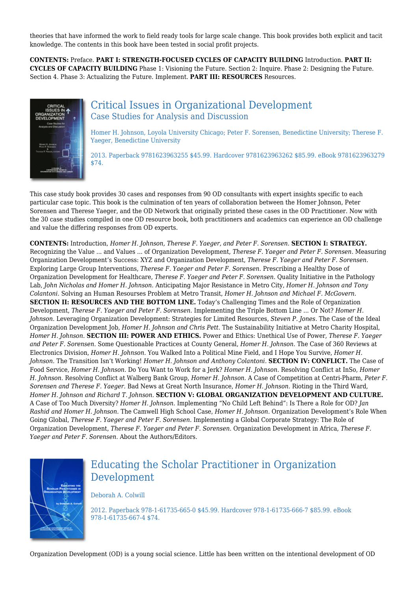theories that have informed the work to field ready tools for large scale change. This book provides both explicit and tacit knowledge. The contents in this book have been tested in social profit projects.

**CONTENTS:** Preface. **PART I: STRENGTH-FOCUSED CYCLES OF CAPACITY BUILDING** Introduction. **PART II: CYCLES OF CAPACITY BUILDING** Phase 1: Visioning the Future. Section 2: Inquire. Phase 2: Designing the Future. Section 4. Phase 3: Actualizing the Future. Implement. **PART III: RESOURCES** Resources.



#### Critical Issues in Organizational Development Case Studies for Analysis and Discussion

Homer H. Johnson, Loyola University Chicago; Peter F. Sorensen, Benedictine University; Therese F. Yaeger, Benedictine University

2013. Paperback 9781623963255 \$45.99. Hardcover 9781623963262 \$85.99. eBook 9781623963279 \$74.

This case study book provides 30 cases and responses from 90 OD consultants with expert insights specific to each particular case topic. This book is the culmination of ten years of collaboration between the Homer Johnson, Peter Sorensen and Therese Yaeger, and the OD Network that originally printed these cases in the OD Practitioner. Now with the 30 case studies compiled in one OD resource book, both practitioners and academics can experience an OD challenge and value the differing responses from OD experts.

**CONTENTS:** Introduction, *Homer H. Johnson, Therese F. Yaeger, and Peter F. Sorensen.* **SECTION I: STRATEGY.** Recognizing the Value ... and Values ... of Organization Development, *Therese F. Yaeger and Peter F. Sorensen.* Measuring Organization Development's Success: XYZ and Organization Development, *Therese F. Yaeger and Peter F. Sorensen.* Exploring Large Group Interventions, *Therese F. Yaeger and Peter F. Sorensen.* Prescribing a Healthy Dose of Organization Development for Healthcare, *Therese F. Yaeger and Peter F. Sorensen.* Quality Initiative in the Pathology Lab, *John Nicholas and Homer H. Johnson.* Anticipating Major Resistance in Metro City, *Homer H. Johnson and Tony Colantoni.* Solving an Human Resourses Problem at Metro Transit, *Homer H. Johnson and Michael F. McGovern.* **SECTION II: RESOURCES AND THE BOTTOM LINE.** Today's Challenging Times and the Role of Organization Development, *Therese F. Yaeger and Peter F. Sorensen.* Implementing the Triple Bottom Line ... Or Not? *Homer H. Johnson.* Leveraging Organization Development: Strategies for Limited Resources, *Steven P. Jones.* The Case of the Ideal Organization Development Job, *Homer H. Johnson and Chris Pett.* The Sustainability Initiative at Metro Charity Hospital, *Homer H. Johnson.* **SECTION III: POWER AND ETHICS.** Power and Ethics: Unethical Use of Power, *Therese F. Yaeger and Peter F. Sorensen.* Some Questionable Practices at County General, *Homer H. Johnson.* The Case of 360 Reviews at Electronics Division, *Homer H. Johnson.* You Walked Into a Political Mine Field, and I Hope You Survive, *Homer H. Johnson.* The Transition Isn't Working! *Homer H. Johnson and Anthony Colantoni.* **SECTION IV: CONFLICT.** The Case of Food Service, *Homer H. Johnson.* Do You Want to Work for a Jerk? *Homer H. Johnson.* Resolving Conflict at InSo, *Homer H. Johnson.* Resolving Conflict at Walberg Bank Group, *Homer H. Johnson.* A Case of Competition at Centri-Pharm, *Peter F. Sorensen and Therese F. Yaeger.* Bad News at Great North Insurance, *Homer H. Johnson.* Rioting in the Third Ward, *Homer H. Johnson and Richard T. Johnson.* **SECTION V: GLOBAL ORGANIZATION DEVELOPMENT AND CULTURE.** A Case of Too Much Diversity? *Homer H. Johnson.* Implementing "No Child Left Behind": Is There a Role for OD? *Jan Rashid and Homer H. Johnson.* The Camwell High School Case, *Homer H. Johnson.* Organization Development's Role When Going Global, *Therese F. Yaeger and Peter F. Sorensen.* Implementing a Global Corporate Strategy: The Role of Organization Development, *Therese F. Yaeger and Peter F. Sorensen.* Organization Development in Africa, *Therese F. Yaeger and Peter F. Sorensen.* About the Authors/Editors.



## Educating the Scholar Practitioner in Organization Development

Deborah A. Colwill

2012. Paperback 978-1-61735-665-0 \$45.99. Hardcover 978-1-61735-666-7 \$85.99. eBook 978-1-61735-667-4 \$74.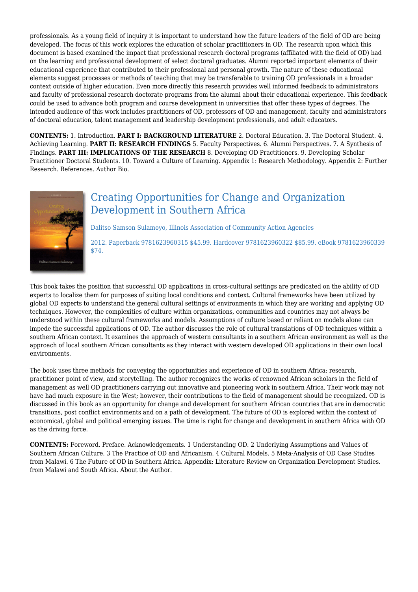professionals. As a young field of inquiry it is important to understand how the future leaders of the field of OD are being developed. The focus of this work explores the education of scholar practitioners in OD. The research upon which this document is based examined the impact that professional research doctoral programs (affiliated with the field of OD) had on the learning and professional development of select doctoral graduates. Alumni reported important elements of their educational experience that contributed to their professional and personal growth. The nature of these educational elements suggest processes or methods of teaching that may be transferable to training OD professionals in a broader context outside of higher education. Even more directly this research provides well informed feedback to administrators and faculty of professional research doctorate programs from the alumni about their educational experience. This feedback could be used to advance both program and course development in universities that offer these types of degrees. The intended audience of this work includes practitioners of OD, professors of OD and management, faculty and administrators of doctoral education, talent management and leadership development professionals, and adult educators.

**CONTENTS:** 1. Introduction. **PART I: BACKGROUND LITERATURE** 2. Doctoral Education. 3. The Doctoral Student. 4. Achieving Learning. **PART II: RESEARCH FINDINGS** 5. Faculty Perspectives. 6. Alumni Perspectives. 7. A Synthesis of Findings. **PART III: IMPLICATIONS OF THE RESEARCH** 8. Developing OD Practitioners. 9. Developing Scholar Practitioner Doctoral Students. 10. Toward a Culture of Learning. Appendix 1: Research Methodology. Appendix 2: Further Research. References. Author Bio.



## Creating Opportunities for Change and Organization Development in Southern Africa

Dalitso Samson Sulamoyo, Illinois Association of Community Action Agencies

2012. Paperback 9781623960315 \$45.99. Hardcover 9781623960322 \$85.99. eBook 9781623960339 \$74.

This book takes the position that successful OD applications in cross-cultural settings are predicated on the ability of OD experts to localize them for purposes of suiting local conditions and context. Cultural frameworks have been utilized by global OD experts to understand the general cultural settings of environments in which they are working and applying OD techniques. However, the complexities of culture within organizations, communities and countries may not always be understood within these cultural frameworks and models. Assumptions of culture based or reliant on models alone can impede the successful applications of OD. The author discusses the role of cultural translations of OD techniques within a southern African context. It examines the approach of western consultants in a southern African environment as well as the approach of local southern African consultants as they interact with western developed OD applications in their own local environments.

The book uses three methods for conveying the opportunities and experience of OD in southern Africa: research, practitioner point of view, and storytelling. The author recognizes the works of renowned African scholars in the field of management as well OD practitioners carrying out innovative and pioneering work in southern Africa. Their work may not have had much exposure in the West; however, their contributions to the field of management should be recognized. OD is discussed in this book as an opportunity for change and development for southern African countries that are in democratic transitions, post conflict environments and on a path of development. The future of OD is explored within the context of economical, global and political emerging issues. The time is right for change and development in southern Africa with OD as the driving force.

**CONTENTS:** Foreword. Preface. Acknowledgements. 1 Understanding OD. 2 Underlying Assumptions and Values of Southern African Culture. 3 The Practice of OD and Africanism. 4 Cultural Models. 5 Meta-Analysis of OD Case Studies from Malawi. 6 The Future of OD in Southern Africa. Appendix: Literature Review on Organization Development Studies. from Malawi and South Africa. About the Author.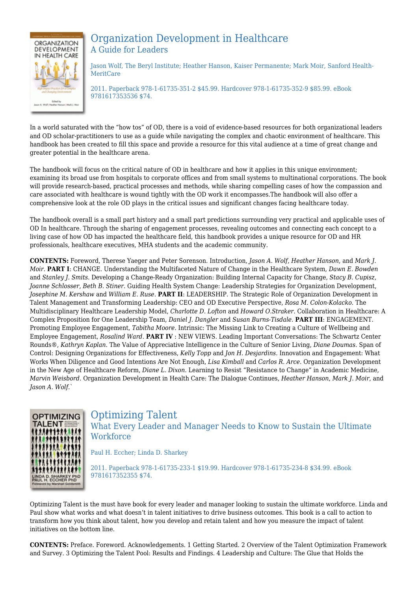

## Organization Development in Healthcare A Guide for Leaders

Jason Wolf, The Beryl Institute; Heather Hanson, Kaiser Permanente; Mark Moir, Sanford Health-MeritCare

2011. Paperback 978-1-61735-351-2 \$45.99. Hardcover 978-1-61735-352-9 \$85.99. eBook 9781617353536 \$74.

In a world saturated with the "how tos" of OD, there is a void of evidence-based resources for both organizational leaders and OD scholar-practitioners to use as a guide while navigating the complex and chaotic environment of healthcare. This handbook has been created to fill this space and provide a resource for this vital audience at a time of great change and greater potential in the healthcare arena.

The handbook will focus on the critical nature of OD in healthcare and how it applies in this unique environment; examining its broad use from hospitals to corporate offices and from small systems to multinational corporations. The book will provide research-based, practical processes and methods, while sharing compelling cases of how the compassion and care associated with healthcare is wound tightly with the OD work it encompasses.The handbook will also offer a comprehensive look at the role OD plays in the critical issues and significant changes facing healthcare today.

The handbook overall is a small part history and a small part predictions surrounding very practical and applicable uses of OD In healthcare. Through the sharing of engagement processes, revealing outcomes and connecting each concept to a living case of how OD has impacted the healthcare field, this handbook provides a unique resource for OD and HR professionals, healthcare executives, MHA students and the academic community.

**CONTENTS:** Foreword, Therese Yaeger and Peter Sorenson. Introduction, *Jason A. Wolf*, *Heather Hanson*, and *Mark J. Moir*. **PART I**: CHANGE. Understanding the Multifaceted Nature of Change in the Healthcare System, *Dawn E. Bowden* and *Stanley J. Smits*. Developing a Change-Ready Organization: Building Internal Capacity for Change, *Stacy B. Cupisz*, *Joanne Schlosser*, *Beth B. Stiner*. Guiding Health System Change: Leadership Strategies for Organization Development, *Josephine M. Kershaw* and *William E. Ruse*. **PART II**: LEADERSHIP. The Strategic Role of Organization Development in Talent Management and Transforming Leadership: CEO and OD Executive Perspective, *Rosa M. Colon-Kolacko*. The Multidisciplinary Healthcare Leadership Model, *Charlotte D. Lofton* and *Howard O.Straker*. Collaboration in Healthcare: A Complex Proposition for One Leadership Team, *Daniel J. Dangler* and *Susan Burns-Tisdale*. **PART III**: ENGAGEMENT. Promoting Employee Engagement, *Tabitha Moore*. Intrinsic: The Missing Link to Creating a Culture of Wellbeing and Employee Engagement, *Rosalind Ward*. **PART IV** : NEW VIEWS. Leading Important Conversations: The Schwartz Center Rounds®, *Kathryn Kaplan*. The Value of Appreciative Intelligence in the Culture of Senior Living, *Diane Doumas*. Span of Control: Designing Organizations for Effectiveness, *Kelly Topp* and *Jon H. Desjardins*. Innovation and Engagement: What Works When Diligence and Good Intentions Are Not Enough, *Lisa Kimball* and *Carlos R. Arce*. Organization Development in the New Age of Healthcare Reform, *Diane L. Dixon*. Learning to Resist "Resistance to Change" in Academic Medicine, *Marvin Weisbord*. Organization Development in Health Care: The Dialogue Continues, *Heather Hanson*, *Mark J. Moir*, and *Jason A. Wolf*.`



Optimizing Talent What Every Leader and Manager Needs to Know to Sustain the Ultimate **Workforce** 

Paul H. Eccher; Linda D. Sharkey

2011. Paperback 978-1-61735-233-1 \$19.99. Hardcover 978-1-61735-234-8 \$34.99. eBook 9781617352355 \$74.

Optimizing Talent is the must have book for every leader and manager looking to sustain the ultimate workforce. Linda and Paul show what works and what doesn't in talent initiatives to drive business outcomes. This book is a call to action to transform how you think about talent, how you develop and retain talent and how you measure the impact of talent initiatives on the bottom line.

**CONTENTS:** Preface. Foreword. Acknowledgements. 1 Getting Started. 2 Overview of the Talent Optimization Framework and Survey. 3 Optimizing the Talent Pool: Results and Findings. 4 Leadership and Culture: The Glue that Holds the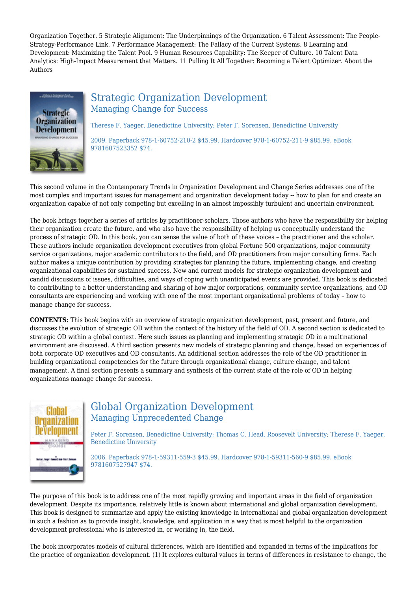Organization Together. 5 Strategic Alignment: The Underpinnings of the Organization. 6 Talent Assessment: The People-Strategy-Performance Link. 7 Performance Management: The Fallacy of the Current Systems. 8 Learning and Development: Maximizing the Talent Pool. 9 Human Resources Capability: The Keeper of Culture. 10 Talent Data Analytics: High-Impact Measurement that Matters. 11 Pulling It All Together: Becoming a Talent Optimizer. About the Authors



#### Strategic Organization Development Managing Change for Success

Therese F. Yaeger, Benedictine University; Peter F. Sorensen, Benedictine University

2009. Paperback 978-1-60752-210-2 \$45.99. Hardcover 978-1-60752-211-9 \$85.99. eBook 9781607523352 \$74.

This second volume in the Contemporary Trends in Organization Development and Change Series addresses one of the most complex and important issues for management and organization development today -- how to plan for and create an organization capable of not only competing but excelling in an almost impossibly turbulent and uncertain environment.

The book brings together a series of articles by practitioner-scholars. Those authors who have the responsibility for helping their organization create the future, and who also have the responsibility of helping us conceptually understand the process of strategic OD. In this book, you can sense the value of both of these voices – the practitioner and the scholar. These authors include organization development executives from global Fortune 500 organizations, major community service organizations, major academic contributors to the field, and OD practitioners from major consulting firms. Each author makes a unique contribution by providing strategies for planning the future, implementing change, and creating organizational capabilities for sustained success. New and current models for strategic organization development and candid discussions of issues, difficulties, and ways of coping with unanticipated events are provided. This book is dedicated to contributing to a better understanding and sharing of how major corporations, community service organizations, and OD consultants are experiencing and working with one of the most important organizational problems of today – how to manage change for success.

**CONTENTS:** This book begins with an overview of strategic organization development, past, present and future, and discusses the evolution of strategic OD within the context of the history of the field of OD. A second section is dedicated to strategic OD within a global context. Here such issues as planning and implementing strategic OD in a multinational environment are discussed. A third section presents new models of strategic planning and change, based on experiences of both corporate OD executives and OD consultants. An additional section addresses the role of the OD practitioner in building organizational competencies for the future through organizational change, culture change, and talent management. A final section presents a summary and synthesis of the current state of the role of OD in helping organizations manage change for success.



## Global Organization Development Managing Unprecedented Change

Peter F. Sorensen, Benedictine University; Thomas C. Head, Roosevelt University; Therese F. Yaeger, Benedictine University

2006. Paperback 978-1-59311-559-3 \$45.99. Hardcover 978-1-59311-560-9 \$85.99. eBook 9781607527947 \$74.

The purpose of this book is to address one of the most rapidly growing and important areas in the field of organization development. Despite its importance, relatively little is known about international and global organization development. This book is designed to summarize and apply the existing knowledge in international and global organization development in such a fashion as to provide insight, knowledge, and application in a way that is most helpful to the organization development professional who is interested in, or working in, the field.

The book incorporates models of cultural differences, which are identified and expanded in terms of the implications for the practice of organization development. (1) It explores cultural values in terms of differences in resistance to change, the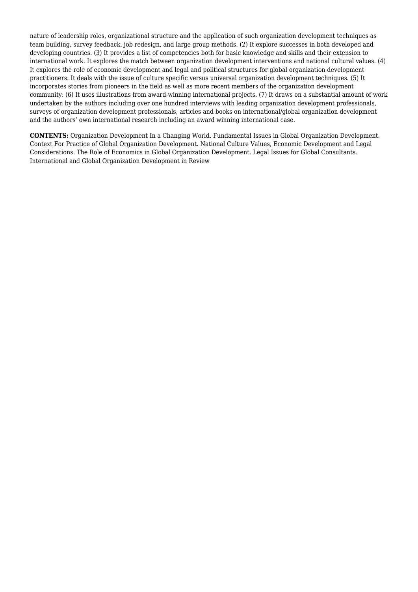nature of leadership roles, organizational structure and the application of such organization development techniques as team building, survey feedback, job redesign, and large group methods. (2) It explore successes in both developed and developing countries. (3) It provides a list of competencies both for basic knowledge and skills and their extension to international work. It explores the match between organization development interventions and national cultural values. (4) It explores the role of economic development and legal and political structures for global organization development practitioners. It deals with the issue of culture specific versus universal organization development techniques. (5) It incorporates stories from pioneers in the field as well as more recent members of the organization development community. (6) It uses illustrations from award-winning international projects. (7) It draws on a substantial amount of work undertaken by the authors including over one hundred interviews with leading organization development professionals, surveys of organization development professionals, articles and books on international/global organization development and the authors' own international research including an award winning international case.

**CONTENTS:** Organization Development In a Changing World. Fundamental Issues in Global Organization Development. Context For Practice of Global Organization Development. National Culture Values, Economic Development and Legal Considerations. The Role of Economics in Global Organization Development. Legal Issues for Global Consultants. International and Global Organization Development in Review